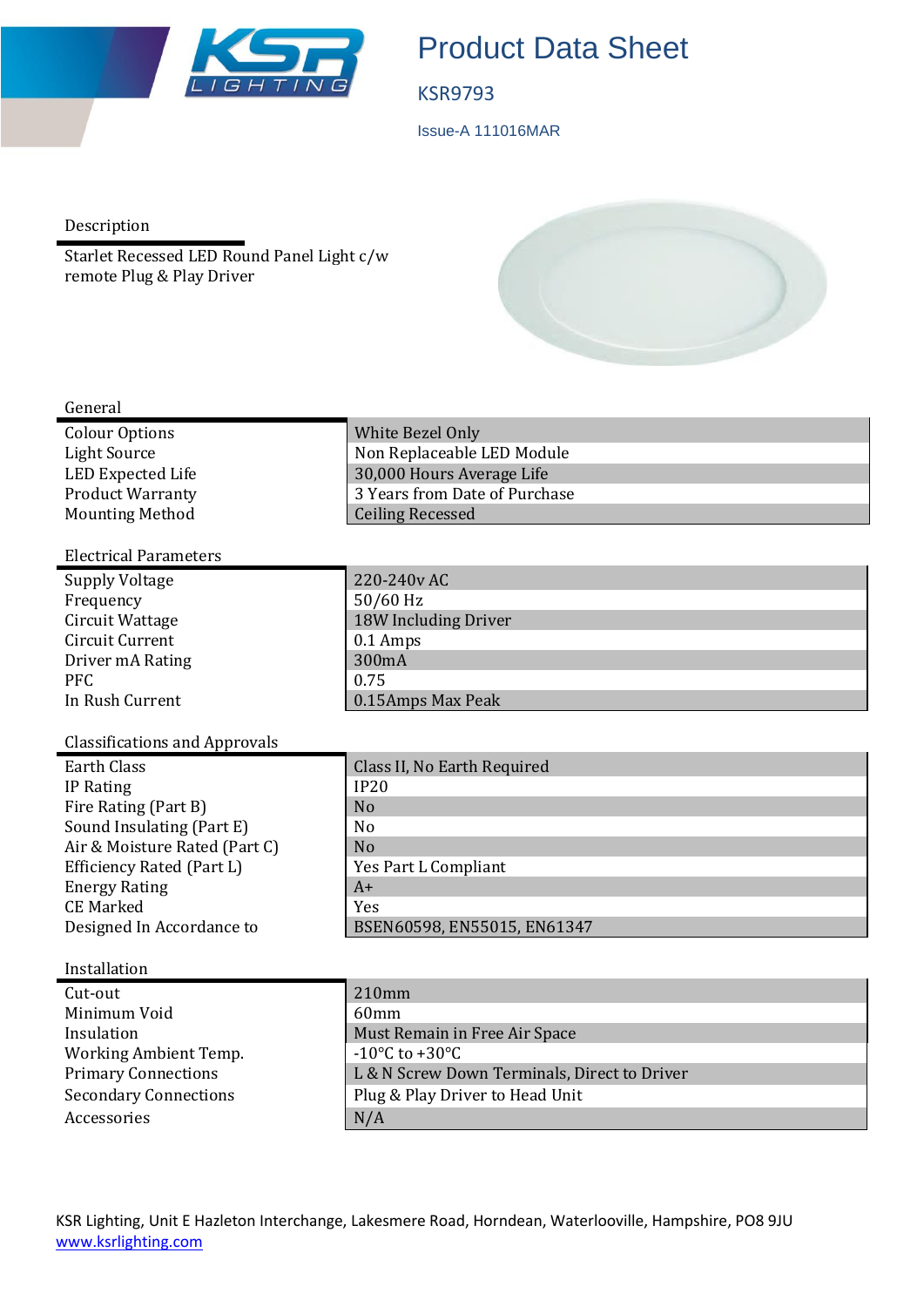

# Product Data Sheet

### KSR9793

Issue-A 111016MAR

Description

Starlet Recessed LED Round Panel Light c/w remote Plug & Play Driver



### General

| Colour Options          | White Bezel Only              |
|-------------------------|-------------------------------|
| Light Source            | Non Replaceable LED Module    |
| LED Expected Life       | 30,000 Hours Average Life     |
| <b>Product Warranty</b> | 3 Years from Date of Purchase |
| <b>Mounting Method</b>  | <b>Ceiling Recessed</b>       |

## Electrical Parameters

| Supply Voltage   | 220-240v AC          |
|------------------|----------------------|
| Frequency        | $50/60$ Hz           |
| Circuit Wattage  | 18W Including Driver |
| Circuit Current  | $0.1$ Amps           |
| Driver mA Rating | 300mA                |
| <b>PFC</b>       | 0.75                 |
| In Rush Current  | 0.15Amps Max Peak    |

## Classifications and Approvals

| <b>Earth Class</b>            | Class II, No Earth Required |
|-------------------------------|-----------------------------|
| IP Rating                     | IP20                        |
| Fire Rating (Part B)          | N <sub>o</sub>              |
| Sound Insulating (Part E)     | N <sub>0</sub>              |
| Air & Moisture Rated (Part C) | N <sub>o</sub>              |
| Efficiency Rated (Part L)     | Yes Part L Compliant        |
| <b>Energy Rating</b>          | $A+$                        |
| <b>CE Marked</b>              | Yes                         |
| Designed In Accordance to     | BSEN60598, EN55015, EN61347 |

### Installation

| Cut-out                      | $210$ mm                                     |
|------------------------------|----------------------------------------------|
| Minimum Void                 | 60 <sub>mm</sub>                             |
| Insulation                   | Must Remain in Free Air Space                |
| Working Ambient Temp.        | $-10\degree$ C to $+30\degree$ C             |
| <b>Primary Connections</b>   | L & N Screw Down Terminals, Direct to Driver |
| <b>Secondary Connections</b> | Plug & Play Driver to Head Unit              |
| Accessories                  | N/A                                          |